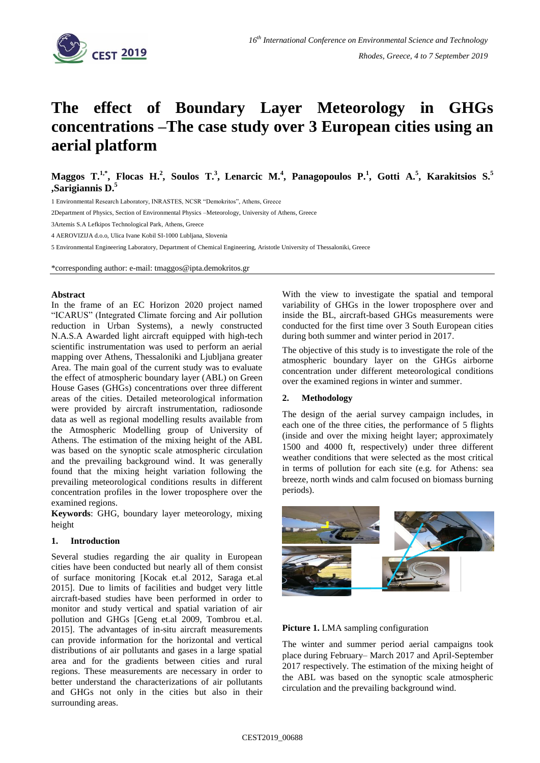

# **The effect of Boundary Layer Meteorology in GHGs concentrations –The case study over 3 European cities using an aerial platform**

**Maggos T. 1,\* , Flocas H. 2 , Soulos T. 3 , Lenarcic M.<sup>4</sup> , Panagopoulos P.<sup>1</sup> , Gotti A.<sup>5</sup> , Karakitsios S.<sup>5</sup> ,Sarigiannis D.<sup>5</sup>**

1 Environmental Research Laboratory, INRASTES, NCSR "Demokritos", Athens, Greece

2Department of Physics, Section of Environmental Physics –Meteorology, University of Athens, Greece

3Artemis S.A Lefkipos Technological Park, Athens, Greece

4 AEROVIZIJA d.o.o, Ulica Ivane Kobil SI-1000 Lubljana, Slovenia

5 Environmental Engineering Laboratory, Department of Chemical Engineering, Aristotle University of Thessaloniki, Greece

\*corresponding author: e-mail: tmaggos@ipta.demokritos.gr

#### **Abstract**

In the frame of an EC Horizon 2020 project named "ICARUS" (Integrated Climate forcing and Air pollution reduction in Urban Systems), a newly constructed N.A.S.A Awarded light aircraft equipped with high-tech scientific instrumentation was used to perform an aerial mapping over Athens, Thessaloniki and Ljubljana greater Area. The main goal of the current study was to evaluate the effect of atmospheric boundary layer (ABL) on Green House Gases (GHGs) concentrations over three different areas of the cities. Detailed meteorological information were provided by aircraft instrumentation, radiosonde data as well as regional modelling results available from the Atmospheric Modelling group of University of Athens. The estimation of the mixing height of the ABL was based on the synoptic scale atmospheric circulation and the prevailing background wind. It was generally found that the mixing height variation following the prevailing meteorological conditions results in different concentration profiles in the lower troposphere over the examined regions.

**Keywords**: GHG, boundary layer meteorology, mixing height

#### **1. Introduction**

Several studies regarding the air quality in European cities have been conducted but nearly all of them consist of surface monitoring [Kocak et.al 2012, Saraga et.al 2015]. Due to limits of facilities and budget very little aircraft-based studies have been performed in order to monitor and study vertical and spatial variation of air pollution and GHGs [Geng et.al 2009, Tombrou et.al. 2015]. The advantages of in-situ aircraft measurements can provide information for the horizontal and vertical distributions of air pollutants and gases in a large spatial area and for the gradients between cities and rural regions. These measurements are necessary in order to better understand the characterizations of air pollutants and GHGs not only in the cities but also in their surrounding areas.

With the view to investigate the spatial and temporal variability of GHGs in the lower troposphere over and inside the BL, aircraft-based GHGs measurements were conducted for the first time over 3 South European cities during both summer and winter period in 2017.

The objective of this study is to investigate the role of the atmospheric boundary layer on the GHGs airborne concentration under different meteorological conditions over the examined regions in winter and summer.

## **2. Methodology**

The design of the aerial survey campaign includes, in each one of the three cities, the performance of 5 flights (inside and over the mixing height layer; approximately 1500 and 4000 ft, respectively) under three different weather conditions that were selected as the most critical in terms of pollution for each site (e.g. for Athens: sea breeze, north winds and calm focused on biomass burning periods).





The winter and summer period aerial campaigns took place during February– March 2017 and April-September 2017 respectively. The estimation of the mixing height of the ABL was based on the synoptic scale atmospheric circulation and the prevailing background wind.